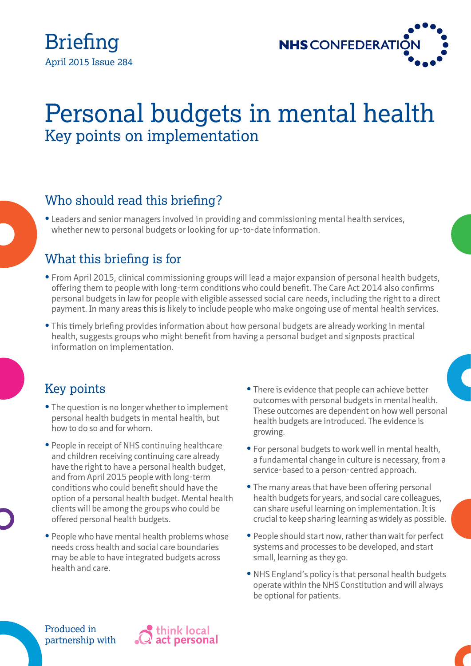



# Personal budgets in mental health Key points on implementation

### Who should read this briefing?

**•** Leaders and senior managers involved in providing and commissioning mental health services, whether new to personal budgets or looking for up-to-date information.

### What this briefing is for

- **•** From April 2015, clinical commissioning groups will lead a major expansion of personal health budgets, offering them to people with long-term conditions who could benefit. The Care Act 2014 also confirms personal budgets in law for people with eligible assessed social care needs, including the right to a direct payment. In many areas this is likely to include people who make ongoing use of mental health services.
- **•** This timely briefing provides information about how personal budgets are already working in mental health, suggests groups who might benefit from having a personal budget and signposts practical information on implementation.

#### Key points

- The question is no longer whether to implement personal health budgets in mental health, but how to do so and for whom.
- People in receipt of NHS continuing healthcare and children receiving continuing care already have the right to have a personal health budget, and from April 2015 people with long-term conditions who could benefit should have the option of a personal health budget. Mental health clients will be among the groups who could be offered personal health budgets.
- **•** People who have mental health problems whose needs cross health and social care boundaries may be able to have integrated budgets across health and care.
- **•** There is evidence that people can achieve better outcomes with personal budgets in mental health. These outcomes are dependent on how well personal health budgets are introduced. The evidence is growing.
- **•** For personal budgets to work well in mental health, a fundamental change in culture is necessary, from a service-based to a person-centred approach.
- **•** The many areas that have been offering personal health budgets for years, and social care colleagues, can share useful learning on implementation. It is crucial to keep sharing learning as widely as possible.
- **•** People should start now, rather than wait for perfect systems and processes to be developed, and start small, learning as they go.
- **•** NHS England's policy is that personal health budgets operate within the NHS Constitution and will always be optional for patients.

Produced in partnership with

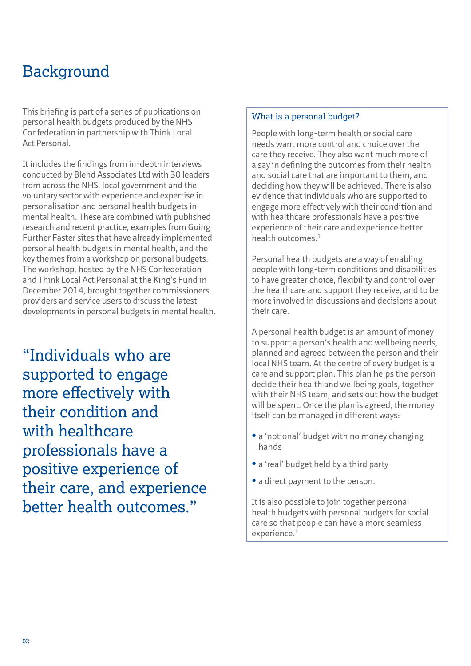## Background

This briefing is part of a series of publications on personal health budgets produced by the NHS Confederation in partnership with Think Local Act Personal.

It includes the findings from in-depth interviews conducted by Blend Associates Ltd with 30 leaders from across the NHS, local government and the voluntary sector with experience and expertise in personalisation and personal health budgets in mental health. These are combined with published research and recent practice, examples from Going Further Faster sites that have already implemented personal health budgets in mental health, and the key themes from a workshop on personal budgets. The workshop, hosted by the NHS Confederation and Think Local Act Personal at the King's Fund in December 2014, brought together commissioners, providers and service users to discuss the latest developments in personal budgets in mental health.

"Individuals who are supported to engage more effectively with their condition and with healthcare professionals have a positive experience of their care, and experience better health outcomes."

#### What is a personal budget?

People with long-term health or social care needs want more control and choice over the care they receive. They also want much more of a say in defining the outcomes from their health and social care that are important to them, and deciding how they will be achieved. There is also evidence that individuals who are supported to engage more effectively with their condition and with healthcare professionals have a positive experience of their care and experience better health outcomes.<sup>1</sup>

Personal health budgets are a way of enabling people with long-term conditions and disabilities to have greater choice, flexibility and control over the healthcare and support they receive, and to be more involved in discussions and decisions about their care.

A personal health budget is an amount of money to support a person's health and wellbeing needs, planned and agreed between the person and their local NHS team. At the centre of every budget is a care and support plan. This plan helps the person decide their health and wellbeing goals, together with their NHS team, and sets out how the budget will be spent. Once the plan is agreed, the money itself can be managed in different ways:

- a 'notional' budget with no money changing hands
- **•** a 'real' budget held by a third party
- a direct payment to the person.

It is also possible to join together personal health budgets with personal budgets for social care so that people can have a more seamless experience.<sup>2</sup>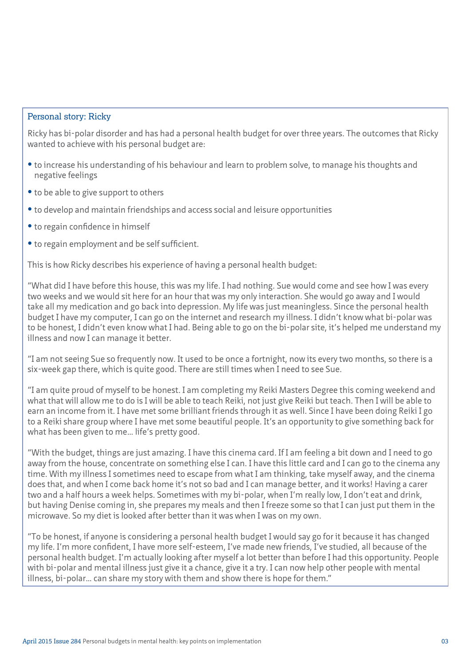#### Personal story: Ricky

Ricky has bi-polar disorder and has had a personal health budget for over three years. The outcomes that Ricky wanted to achieve with his personal budget are:

- to increase his understanding of his behaviour and learn to problem solve, to manage his thoughts and negative feelings
- to be able to give support to others
- to develop and maintain friendships and access social and leisure opportunities
- **•** to regain confidence in himself
- to regain employment and be self sufficient.

This is how Ricky describes his experience of having a personal health budget:

"What did I have before this house, this was my life. I had nothing. Sue would come and see how I was every two weeks and we would sit here for an hour that was my only interaction. She would go away and I would take all my medication and go back into depression. My life was just meaningless. Since the personal health budget I have my computer, I can go on the internet and research my illness. I didn't know what bi-polar was to be honest, I didn't even know what I had. Being able to go on the bi-polar site, it's helped me understand my illness and now I can manage it better.

"I am not seeing Sue so frequently now. It used to be once a fortnight, now its every two months, so there is a six-week gap there, which is quite good. There are still times when I need to see Sue.

"I am quite proud of myself to be honest. I am completing my Reiki Masters Degree this coming weekend and what that will allow me to do is I will be able to teach Reiki, not just give Reiki but teach. Then I will be able to earn an income from it. I have met some brilliant friends through it as well. Since I have been doing Reiki I go to a Reiki share group where I have met some beautiful people. It's an opportunity to give something back for what has been given to me… life's pretty good.

"With the budget, things are just amazing. I have this cinema card. If I am feeling a bit down and I need to go away from the house, concentrate on something else I can. I have this little card and I can go to the cinema any time. With my illness I sometimes need to escape from what I am thinking, take myself away, and the cinema does that, and when I come back home it's not so bad and I can manage better, and it works! Having a carer two and a half hours a week helps. Sometimes with my bi-polar, when I'm really low, I don't eat and drink, but having Denise coming in, she prepares my meals and then I freeze some so that I can just put them in the microwave. So my diet is looked after better than it was when I was on my own.

"To be honest, if anyone is considering a personal health budget I would say go for it because it has changed my life. I'm more confident, I have more self-esteem, I've made new friends, I've studied, all because of the personal health budget. I'm actually looking after myself a lot better than before I had this opportunity. People with bi-polar and mental illness just give it a chance, give it a try. I can now help other people with mental illness, bi-polar… can share my story with them and show there is hope for them."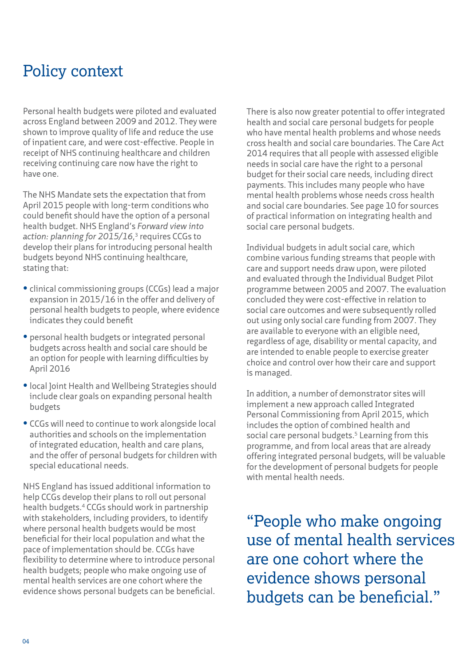### Policy context

Personal health budgets were piloted and evaluated across England between 2009 and 2012. They were shown to improve quality of life and reduce the use of inpatient care, and were cost-effective. People in receipt of NHS continuing healthcare and children receiving continuing care now have the right to have one.

The NHS Mandate sets the expectation that from April 2015 people with long-term conditions who could benefit should have the option of a personal health budget. NHS England's *Forward view into action: planning for 2015/16*, 3 requires CCGs to develop their plans for introducing personal health budgets beyond NHS continuing healthcare, stating that:

- **•** clinical commissioning groups (CCGs) lead a major expansion in 2015/16 in the offer and delivery of personal health budgets to people, where evidence indicates they could benefit
- **•** personal health budgets or integrated personal budgets across health and social care should be an option for people with learning difficulties by April 2016
- **•** local Joint Health and Wellbeing Strategies should include clear goals on expanding personal health budgets
- **CCGs will need to continue to work alongside local** authorities and schools on the implementation of integrated education, health and care plans, and the offer of personal budgets for children with special educational needs.

NHS England has issued additional information to help CCGs develop their plans to roll out personal health budgets.4 CCGs should work in partnership with stakeholders, including providers, to identify where personal health budgets would be most beneficial for their local population and what the pace of implementation should be. CCGs have flexibility to determine where to introduce personal health budgets; people who make ongoing use of mental health services are one cohort where the evidence shows personal budgets can be beneficial. There is also now greater potential to offer integrated health and social care personal budgets for people who have mental health problems and whose needs cross health and social care boundaries. The Care Act 2014 requires that all people with assessed eligible needs in social care have the right to a personal budget for their social care needs, including direct payments. This includes many people who have mental health problems whose needs cross health and social care boundaries. See page 10 for sources of practical information on integrating health and social care personal budgets.

Individual budgets in adult social care, which combine various funding streams that people with care and support needs draw upon, were piloted and evaluated through the Individual Budget Pilot programme between 2005 and 2007. The evaluation concluded they were cost-effective in relation to social care outcomes and were subsequently rolled out using only social care funding from 2007. They are available to everyone with an eligible need, regardless of age, disability or mental capacity, and are intended to enable people to exercise greater choice and control over how their care and support is managed.

In addition, a number of demonstrator sites will implement a new approach called Integrated Personal Commissioning from April 2015, which includes the option of combined health and social care personal budgets.<sup>5</sup> Learning from this programme, and from local areas that are already offering integrated personal budgets, will be valuable for the development of personal budgets for people with mental health needs.

"People who make ongoing use of mental health services are one cohort where the evidence shows personal budgets can be beneficial."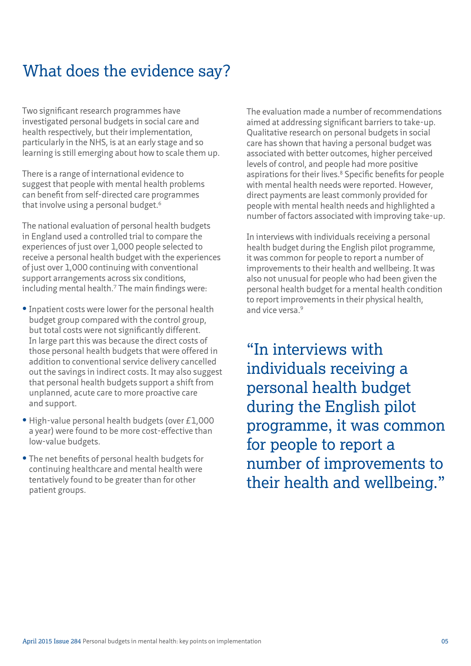### What does the evidence say?

Two significant research programmes have investigated personal budgets in social care and health respectively, but their implementation, particularly in the NHS, is at an early stage and so learning is still emerging about how to scale them up.

There is a range of international evidence to suggest that people with mental health problems can benefit from self-directed care programmes that involve using a personal budget.<sup>6</sup>

The national evaluation of personal health budgets in England used a controlled trial to compare the experiences of just over 1,000 people selected to receive a personal health budget with the experiences of just over 1,000 continuing with conventional support arrangements across six conditions, including mental health.<sup>7</sup> The main findings were:

- **•** Inpatient costs were lower for the personal health budget group compared with the control group, but total costs were not significantly different. In large part this was because the direct costs of those personal health budgets that were offered in addition to conventional service delivery cancelled out the savings in indirect costs. It may also suggest that personal health budgets support a shift from unplanned, acute care to more proactive care and support.
- **•** High-value personal health budgets (over £1,000 a year) were found to be more cost-effective than low-value budgets.
- **•** The net benefits of personal health budgets for continuing healthcare and mental health were tentatively found to be greater than for other patient groups.

The evaluation made a number of recommendations aimed at addressing significant barriers to take-up. Qualitative research on personal budgets in social care has shown that having a personal budget was associated with better outcomes, higher perceived levels of control, and people had more positive aspirations for their lives.<sup>8</sup> Specific benefits for people with mental health needs were reported. However, direct payments are least commonly provided for people with mental health needs and highlighted a number of factors associated with improving take-up.

In interviews with individuals receiving a personal health budget during the English pilot programme, it was common for people to report a number of improvements to their health and wellbeing. It was also not unusual for people who had been given the personal health budget for a mental health condition to report improvements in their physical health, and vice versa.<sup>9</sup>

"In interviews with individuals receiving a personal health budget during the English pilot programme, it was common for people to report a number of improvements to their health and wellbeing."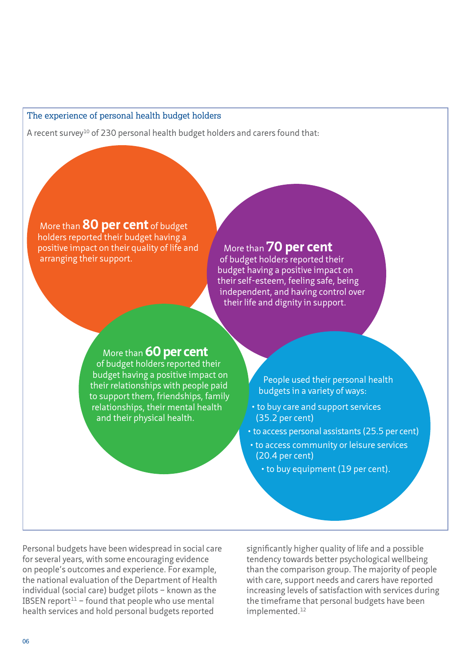#### The experience of personal health budget holders

A recent survey<sup>10</sup> of 230 personal health budget holders and carers found that:

#### More than **80 per cent** of budget

holders reported their budget having a positive impact on their quality of life and arranging their support.

#### More than **70 per cent**

of budget holders reported their budget having a positive impact on their self-esteem, feeling safe, being independent, and having control over their life and dignity in support.

#### More than **60 per cent**

of budget holders reported their budget having a positive impact on their relationships with people paid to support them, friendships, family relationships, their mental health and their physical health.

People used their personal health budgets in a variety of ways:

- to buy care and support services (35.2 per cent)
- to access personal assistants (25.5 per cent)
- to access community or leisure services (20.4 per cent)
	- to buy equipment (19 per cent).

Personal budgets have been widespread in social care for several years, with some encouraging evidence on people's outcomes and experience. For example, the national evaluation of the Department of Health individual (social care) budget pilots – known as the IBSEN report<sup>11</sup> – found that people who use mental health services and hold personal budgets reported

significantly higher quality of life and a possible tendency towards better psychological wellbeing than the comparison group. The majority of people with care, support needs and carers have reported increasing levels of satisfaction with services during the timeframe that personal budgets have been implemented.<sup>12</sup>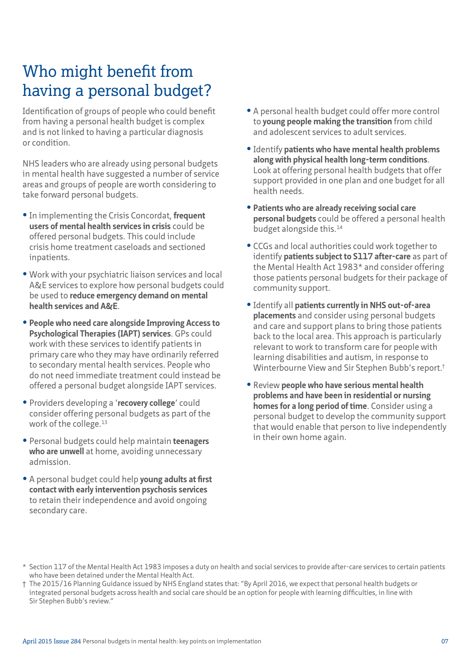### Who might benefit from having a personal budget?

Identification of groups of people who could benefit from having a personal health budget is complex and is not linked to having a particular diagnosis or condition.

NHS leaders who are already using personal budgets in mental health have suggested a number of service areas and groups of people are worth considering to take forward personal budgets.

- **•** In implementing the Crisis Concordat, frequent **users of mental health services in crisis** could be offered personal budgets. This could include crisis home treatment caseloads and sectioned inpatients.
- **•** Work with your psychiatric liaison services and local A&E services to explore how personal budgets could be used to **reduce emergency demand on mental health services and A&E**.
- **• People who need care alongside Improving Access to Psychological Therapies (IAPT) services**. GPs could work with these services to identify patients in primary care who they may have ordinarily referred to secondary mental health services. People who do not need immediate treatment could instead be offered a personal budget alongside IAPT services.
- **•** Providers developing a '**recovery college**' could consider offering personal budgets as part of the work of the college.<sup>13</sup>
- **•** Personal budgets could help maintain **teenagers who are unwell** at home, avoiding unnecessary admission.
- **•** A personal budget could help **young adults at first contact with early intervention psychosis services** to retain their independence and avoid ongoing secondary care.
- **•** A personal health budget could offer more control to **young people making the transition** from child and adolescent services to adult services.
- **•** Identify **patients who have mental health problems along with physical health long-term conditions**. Look at offering personal health budgets that offer support provided in one plan and one budget for all health needs.
- **• Patients who are already receiving social care personal budgets** could be offered a personal health budget alongside this.<sup>14</sup>
- **•** CCGs and local authorities could work together to identify **patients subject to S117 after-care** as part of the Mental Health Act 1983\* and consider offering those patients personal budgets for their package of community support.
- **•** Identify all **patients currently in NHS out-of-area placements** and consider using personal budgets and care and support plans to bring those patients back to the local area. This approach is particularly relevant to work to transform care for people with learning disabilities and autism, in response to Winterbourne View and Sir Stephen Bubb's report.†
- **•** Review **people who have serious mental health problems and have been in residential or nursing homes for a long period of time**. Consider using a personal budget to develop the community support that would enable that person to live independently in their own home again.

<sup>\*</sup> Section 117 of the Mental Health Act 1983 imposes a duty on health and social services to provide after-care services to certain patients who have been detained under the Mental Health Act.

<sup>†</sup> The 2015/16 Planning Guidance issued by NHS England states that: "By April 2016, we expect that personal health budgets or integrated personal budgets across health and social care should be an option for people with learning difficulties, in line with Sir Stephen Bubb's review."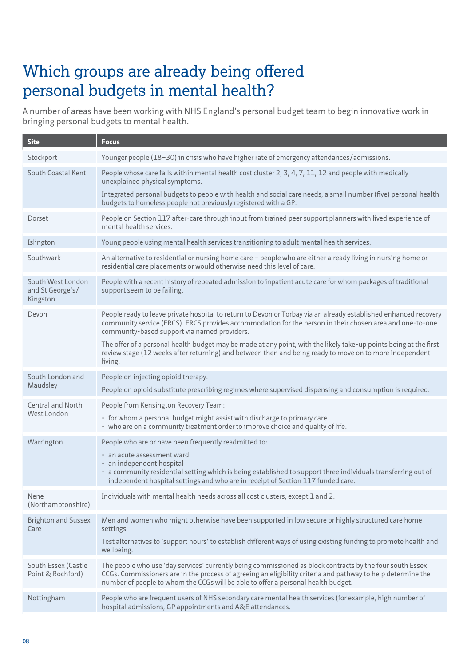## Which groups are already being offered personal budgets in mental health?

A number of areas have been working with NHS England's personal budget team to begin innovative work in bringing personal budgets to mental health.

| <b>Site</b>                                       | <b>Focus</b>                                                                                                                                                                                                                                                                                                   |
|---------------------------------------------------|----------------------------------------------------------------------------------------------------------------------------------------------------------------------------------------------------------------------------------------------------------------------------------------------------------------|
| Stockport                                         | Younger people (18-30) in crisis who have higher rate of emergency attendances/admissions.                                                                                                                                                                                                                     |
| South Coastal Kent                                | People whose care falls within mental health cost cluster 2, 3, 4, 7, 11, 12 and people with medically<br>unexplained physical symptoms.                                                                                                                                                                       |
|                                                   | Integrated personal budgets to people with health and social care needs, a small number (five) personal health<br>budgets to homeless people not previously registered with a GP.                                                                                                                              |
| Dorset                                            | People on Section 117 after-care through input from trained peer support planners with lived experience of<br>mental health services.                                                                                                                                                                          |
| Islington                                         | Young people using mental health services transitioning to adult mental health services.                                                                                                                                                                                                                       |
| Southwark                                         | An alternative to residential or nursing home care - people who are either already living in nursing home or<br>residential care placements or would otherwise need this level of care.                                                                                                                        |
| South West London<br>and St George's/<br>Kingston | People with a recent history of repeated admission to inpatient acute care for whom packages of traditional<br>support seem to be failing.                                                                                                                                                                     |
| Devon                                             | People ready to leave private hospital to return to Devon or Torbay via an already established enhanced recovery<br>community service (ERCS). ERCS provides accommodation for the person in their chosen area and one-to-one<br>community-based support via named providers.                                   |
|                                                   | The offer of a personal health budget may be made at any point, with the likely take-up points being at the first<br>review stage (12 weeks after returning) and between then and being ready to move on to more independent<br>living.                                                                        |
| South London and<br>Maudsley                      | People on injecting opioid therapy.                                                                                                                                                                                                                                                                            |
|                                                   | People on opioid substitute prescribing regimes where supervised dispensing and consumption is required.                                                                                                                                                                                                       |
| Central and North<br>West London                  | People from Kensington Recovery Team:                                                                                                                                                                                                                                                                          |
|                                                   | • for whom a personal budget might assist with discharge to primary care<br>• who are on a community treatment order to improve choice and quality of life.                                                                                                                                                    |
| Warrington                                        | People who are or have been frequently readmitted to:                                                                                                                                                                                                                                                          |
|                                                   | • an acute assessment ward<br>· an independent hospital                                                                                                                                                                                                                                                        |
|                                                   | · a community residential setting which is being established to support three individuals transferring out of<br>independent hospital settings and who are in receipt of Section 117 funded care.                                                                                                              |
| Nene<br>(Northamptonshire)                        | Individuals with mental health needs across all cost clusters, except 1 and 2.                                                                                                                                                                                                                                 |
| <b>Brighton and Sussex</b><br>Care                | Men and women who might otherwise have been supported in low secure or highly structured care home<br>settings.                                                                                                                                                                                                |
|                                                   | Test alternatives to 'support hours' to establish different ways of using existing funding to promote health and<br>wellbeing.                                                                                                                                                                                 |
| South Essex (Castle<br>Point & Rochford)          | The people who use 'day services' currently being commissioned as block contracts by the four south Essex<br>CCGs. Commissioners are in the process of agreeing an eligibility criteria and pathway to help determine the<br>number of people to whom the CCGs will be able to offer a personal health budget. |
| Nottingham                                        | People who are frequent users of NHS secondary care mental health services (for example, high number of<br>hospital admissions, GP appointments and A&E attendances.                                                                                                                                           |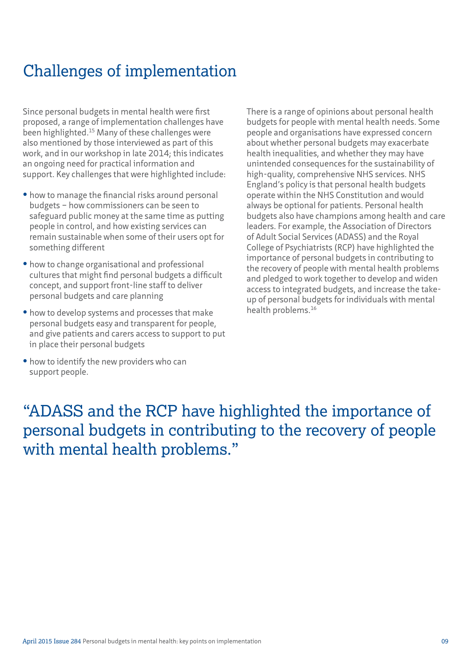## Challenges of implementation

Since personal budgets in mental health were first proposed, a range of implementation challenges have been highlighted.<sup>15</sup> Many of these challenges were also mentioned by those interviewed as part of this work, and in our workshop in late 2014; this indicates an ongoing need for practical information and support. Key challenges that were highlighted include:

- how to manage the financial risks around personal budgets – how commissioners can be seen to safeguard public money at the same time as putting people in control, and how existing services can remain sustainable when some of their users opt for something different
- how to change organisational and professional cultures that might find personal budgets a difficult concept, and support front-line staff to deliver personal budgets and care planning
- **•** how to develop systems and processes that make personal budgets easy and transparent for people, and give patients and carers access to support to put in place their personal budgets
- how to identify the new providers who can support people.

There is a range of opinions about personal health budgets for people with mental health needs. Some people and organisations have expressed concern about whether personal budgets may exacerbate health inequalities, and whether they may have unintended consequences for the sustainability of high-quality, comprehensive NHS services. NHS England's policy is that personal health budgets operate within the NHS Constitution and would always be optional for patients. Personal health budgets also have champions among health and care leaders. For example, the Association of Directors of Adult Social Services (ADASS) and the Royal College of Psychiatrists (RCP) have highlighted the importance of personal budgets in contributing to the recovery of people with mental health problems and pledged to work together to develop and widen access to integrated budgets, and increase the takeup of personal budgets for individuals with mental health problems.<sup>16</sup>

### "ADASS and the RCP have highlighted the importance of personal budgets in contributing to the recovery of people with mental health problems."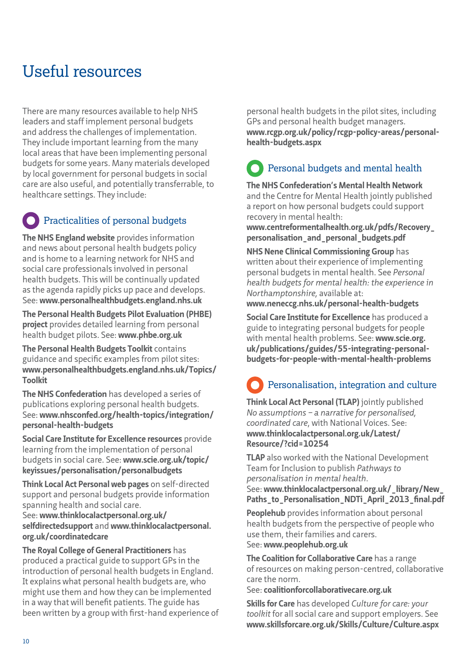## Useful resources

There are many resources available to help NHS leaders and staff implement personal budgets and address the challenges of implementation. They include important learning from the many local areas that have been implementing personal budgets for some years. Many materials developed by local government for personal budgets in social care are also useful, and potentially transferrable, to healthcare settings. They include:

#### Practicalities of personal budgets

**The NHS England website** provides information and news about personal health budgets policy and is home to a learning network for NHS and social care professionals involved in personal health budgets. This will be continually updated as the agenda rapidly picks up pace and develops. See: **www.personalhealthbudgets.england.nhs.uk**

**The Personal Health Budgets Pilot Evaluation (PHBE) project** provides detailed learning from personal health budget pilots. See: **www.phbe.org.uk**

**The Personal Health Budgets Toolkit** contains guidance and specific examples from pilot sites: **[www.personalhealthbudgets.england.nhs.uk/Topics/](www.personalhealthbudgets.england.nhs.uk/Topics/Toolkit) [Toolkit](www.personalhealthbudgets.england.nhs.uk/Topics/Toolkit)**

**The NHS Confederation** has developed a series of publications exploring personal health budgets. See: **[www.nhsconfed.org/health-topics/integration/](www.nhsconfed.org/health-topics/integration/personal-health-budgets) [personal-health-budgets](www.nhsconfed.org/health-topics/integration/personal-health-budgets)**

**Social Care Institute for Excellence resources** provide learning from the implementation of personal budgets in social care. See: **[www.scie.org.uk/topic/](www.scie.org.uk/topic/keyissues/personalisation/personalbudgets) [keyissues/personalisation/personalbudgets](www.scie.org.uk/topic/keyissues/personalisation/personalbudgets)**

**Think Local Act Personal web pages** on self-directed support and personal budgets provide information spanning health and social care.

See: **[www.thinklocalactpersonal.org.uk/](www.thinklocalactpersonal.org.uk/selfdirectedsupport and www.thinklocalactpersonal.org.uk/coordinatedcare) selfdirectedsupport** and **[www.thinklocalactpersonal.](www.thinklocalactpersonal.org.uk/selfdirectedsupport and www.thinklocalactpersonal.org.uk/coordinatedcare) [org.uk/coordinatedcare](www.thinklocalactpersonal.org.uk/selfdirectedsupport and www.thinklocalactpersonal.org.uk/coordinatedcare)**

**The Royal College of General Practitioners** has produced a practical guide to support GPs in the introduction of personal health budgets in England. It explains what personal health budgets are, who might use them and how they can be implemented in a way that will benefit patients. The guide has been written by a group with first-hand experience of

personal health budgets in the pilot sites, including GPs and personal health budget managers. **[www.rcgp.org.uk/policy/rcgp-policy-areas/personal](www.rcgp.org.uk/policy/rcgp-policy-areas/personal-health-budgets.aspx)[health-budgets.aspx](www.rcgp.org.uk/policy/rcgp-policy-areas/personal-health-budgets.aspx)**

# Personal budgets and mental health

**The NHS Confederation's Mental Health Network** and the Centre for Mental Health jointly published a report on how personal budgets could support recovery in mental health:

**[www.centreformentalhealth.org.uk/pdfs/Recovery\\_](www.centreformentalhealth.org.uk/pdfs/Recovery_personalisation_and_personal_budgets.pdf) [personalisation\\_and\\_personal\\_budgets.pdf](www.centreformentalhealth.org.uk/pdfs/Recovery_personalisation_and_personal_budgets.pdf)**

**NHS Nene Clinical Commissioning Group** has written about their experience of implementing personal budgets in mental health. See *Personal health budgets for mental health: the experience in Northamptonshire,* available at:

**www.neneccg.nhs.uk/personal-health-budgets**

**Social Care Institute for Excellence** has produced a guide to integrating personal budgets for people with mental health problems. See: **[www.scie.org.](www.scie.org.uk/publications/guides/55-integrating-personal-budgets-for-people-with-mental-health-problems) [uk/publications/guides/55-integrating-personal](www.scie.org.uk/publications/guides/55-integrating-personal-budgets-for-people-with-mental-health-problems)[budgets-for-people-with-mental-health-problems](www.scie.org.uk/publications/guides/55-integrating-personal-budgets-for-people-with-mental-health-problems)**

# Personalisation, integration and culture

**Think Local Act Personal (TLAP)** jointly published *No assumptions – a narrative for personalised, coordinated care*, with National Voices. See: **[www.thinklocalactpersonal.org.uk/Latest/](www.thinklocalactpersonal.org.uk/Latest/Resource/?cid=10254) [Resource/?cid=10254](www.thinklocalactpersonal.org.uk/Latest/Resource/?cid=10254)**

**TLAP** also worked with the National Development Team for Inclusion to publish *Pathways to personalisation in mental health*. See: **[www.thinklocalactpersonal.org.uk/\\_library/New\\_](www.thinklocalactpersonal.org.uk/_library/New_Paths_to_Personalisation_NDTi_April_2013_final.pdf)**

**[Paths\\_to\\_Personalisation\\_NDTi\\_April\\_2013\\_final.pdf](www.thinklocalactpersonal.org.uk/_library/New_Paths_to_Personalisation_NDTi_April_2013_final.pdf)**

**Peoplehub** provides information about personal health budgets from the perspective of people who use them, their families and carers. See: **www.peoplehub.org.uk**

**The Coalition for Collaborative Care** has a range of resources on making person-centred, collaborative care the norm.

#### See: **coalitionforcollaborativecare.org.uk**

**Skills for Care** has developed *Culture for care: your toolkit* for all social care and support employers. See **www.skillsforcare.org.uk/Skills/Culture/Culture.aspx**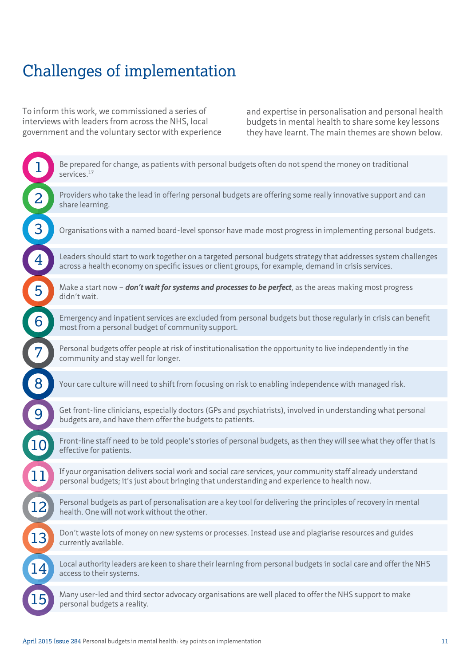## Challenges of implementation

To inform this work, we commissioned a series of interviews with leaders from across the NHS, local government and the voluntary sector with experience and expertise in personalisation and personal health budgets in mental health to share some key lessons they have learnt. The main themes are shown below.

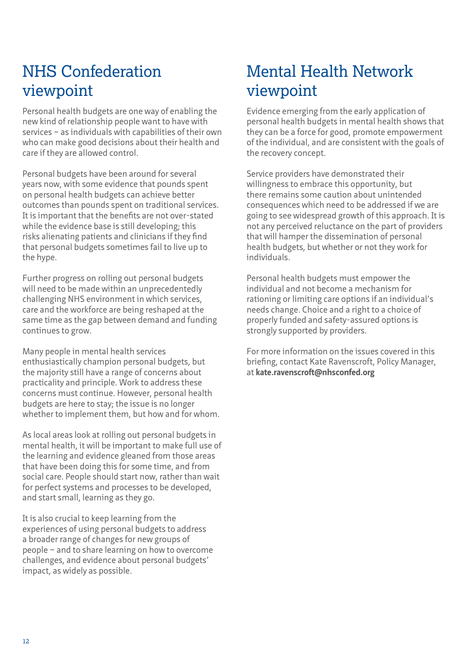## NHS Confederation viewpoint

Personal health budgets are one way of enabling the new kind of relationship people want to have with services – as individuals with capabilities of their own who can make good decisions about their health and care if they are allowed control.

Personal budgets have been around for several years now, with some evidence that pounds spent on personal health budgets can achieve better outcomes than pounds spent on traditional services. It is important that the benefits are not over-stated while the evidence base is still developing; this risks alienating patients and clinicians if they find that personal budgets sometimes fail to live up to the hype.

Further progress on rolling out personal budgets will need to be made within an unprecedentedly challenging NHS environment in which services, care and the workforce are being reshaped at the same time as the gap between demand and funding continues to grow.

Many people in mental health services enthusiastically champion personal budgets, but the majority still have a range of concerns about practicality and principle. Work to address these concerns must continue. However, personal health budgets are here to stay; the issue is no longer whether to implement them, but how and for whom.

As local areas look at rolling out personal budgets in mental health, it will be important to make full use of the learning and evidence gleaned from those areas that have been doing this for some time, and from social care. People should start now, rather than wait for perfect systems and processes to be developed, and start small, learning as they go.

It is also crucial to keep learning from the experiences of using personal budgets to address a broader range of changes for new groups of people – and to share learning on how to overcome challenges, and evidence about personal budgets' impact, as widely as possible.

## Mental Health Network viewpoint

Evidence emerging from the early application of personal health budgets in mental health shows that they can be a force for good, promote empowerment of the individual, and are consistent with the goals of the recovery concept.

Service providers have demonstrated their willingness to embrace this opportunity, but there remains some caution about unintended consequences which need to be addressed if we are going to see widespread growth of this approach. It is not any perceived reluctance on the part of providers that will hamper the dissemination of personal health budgets, but whether or not they work for individuals.

Personal health budgets must empower the individual and not become a mechanism for rationing or limiting care options if an individual's needs change. Choice and a right to a choice of properly funded and safety-assured options is strongly supported by providers.

For more information on the issues covered in this briefing, contact Kate Ravenscroft, Policy Manager, at **kate.ravenscroft@nhsconfed.org**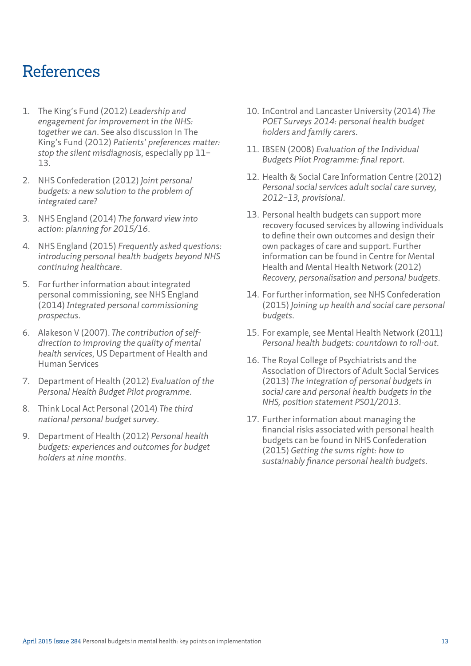### References

- 1. The King's Fund (2012) *Leadership and engagement for improvement in the NHS: together we can*. See also discussion in The King's Fund (2012) *Patients' preferences matter: stop the silent misdiagnosis*, especially pp 11– 13.
- 2. NHS Confederation (2012) *[Joint personal](http://www.nhsconfed.org/resources/2012/10/joint-personal-budgets-a-new-solution-to-the-problem-of-integrated-care)  [budgets: a new solution to the problem of](http://www.nhsconfed.org/resources/2012/10/joint-personal-budgets-a-new-solution-to-the-problem-of-integrated-care)  [integrated care?](http://www.nhsconfed.org/resources/2012/10/joint-personal-budgets-a-new-solution-to-the-problem-of-integrated-care)*
- 3. NHS England (2014) *[The forward view into](http://www.england.nhs.uk/wp-content/uploads/2014/12/forward-view-plning.pdf)  [action: planning for 2015/16](http://www.england.nhs.uk/wp-content/uploads/2014/12/forward-view-plning.pdf)*.
- 4. NHS England (2015) *[Frequently asked questions:](http://www.personalhealthbudgets.england.nhs.uk/_library/Resources/Personalhealthbudgets/2015/150303-FAQ_Introducing_PHB_beyond_CHC.pdf)  [introducing personal health budgets beyond NHS](http://www.personalhealthbudgets.england.nhs.uk/_library/Resources/Personalhealthbudgets/2015/150303-FAQ_Introducing_PHB_beyond_CHC.pdf)  [continuing healthcare](http://www.personalhealthbudgets.england.nhs.uk/_library/Resources/Personalhealthbudgets/2015/150303-FAQ_Introducing_PHB_beyond_CHC.pdf)*.
- 5. For further information about integrated personal commissioning, see NHS England (2014) *Integrated personal commissioning prospectus*.
- 6. Alakeson V (2007). *The contribution of selfdirection to improving the quality of mental health services*, US Department of Health and Human Services
- 7. Department of Health (2012) *[Evaluation of the](http://www.personalhealthbudgets.england.nhs.uk/_library/Resources/Personalhealthbudgets/2012/PHBE_personal_health_budgets_final_report_Nov_2012.pdf)  [Personal Health Budget Pilot programme](http://www.personalhealthbudgets.england.nhs.uk/_library/Resources/Personalhealthbudgets/2012/PHBE_personal_health_budgets_final_report_Nov_2012.pdf)*.
- 8. Think Local Act Personal (2014) *[The third](http://www.thinklocalactpersonal.org.uk/Latest/Resource/%3Fcid%3D10343)  [national personal budget survey](http://www.thinklocalactpersonal.org.uk/Latest/Resource/%3Fcid%3D10343)*.
- 9. Department of Health (2012) *[Personal health](https://www.phbe.org.uk/documents/interim-report-june-2012.pdf)  [budgets: experiences and outcomes for budget](https://www.phbe.org.uk/documents/interim-report-june-2012.pdf)  [holders at nine months](https://www.phbe.org.uk/documents/interim-report-june-2012.pdf)*.
- 10. InControl and Lancaster University (2014) *[The](http://www.in-control.org.uk/media/168340/poet%20health%20report%20oct%202014.pdf)  [POET Surveys 2014: personal health budget](http://www.in-control.org.uk/media/168340/poet%20health%20report%20oct%202014.pdf)  [holders and family carers](http://www.in-control.org.uk/media/168340/poet%20health%20report%20oct%202014.pdf)*.
- 11. IBSEN (2008) *[Evaluation of the Individual](http://www.york.ac.uk/inst/spru/pubs/pdf/IBSEN.pdf)  [Budgets Pilot Programme: final report](http://www.york.ac.uk/inst/spru/pubs/pdf/IBSEN.pdf)*.
- 12. Health & Social Care Information Centre (2012) *Personal social services adult social care survey, 2012–13, provisional*.
- 13. Personal health budgets can support more recovery focused services by allowing individuals to define their own outcomes and design their own packages of care and support. Further information can be found in Centre for Mental Health and Mental Health Network (2012) *[Recovery, personalisation and personal budgets](http://www.centreformentalhealth.org.uk/pdfs/Recovery_personalisation_and_personal_budgets.pdf)*.
- 14. For further information, see NHS Confederation (2015) *[Joining up health and social care personal](http://www.nhsconfed.org/resources/2015/01/joining-up-health-and-social-care-personal-budgets)  [budgets](http://www.nhsconfed.org/resources/2015/01/joining-up-health-and-social-care-personal-budgets)*.
- 15. For example, see Mental Health Network (2011) *[Personal health budgets: countdown to roll-out](http://www.nhsconfed.org/Publications/briefings/Pages/Personal-health-budgets.aspx)*.
- 16. The Royal College of Psychiatrists and the Association of Directors of Adult Social Services (2013) *The integration of personal budgets in social care and personal health budgets in the NHS, position statement PS01/2013*.
- 17. Further information about managing the financial risks associated with personal health budgets can be found in NHS Confederation (2015) *[Getting the sums right: how to](http://www.nhsconfed.org/resources/2015/03/getting-the-sums-right-how-to-sustainably-finance-personal-health-budgets)  [sustainably finance personal health budgets](http://www.nhsconfed.org/resources/2015/03/getting-the-sums-right-how-to-sustainably-finance-personal-health-budgets)*.